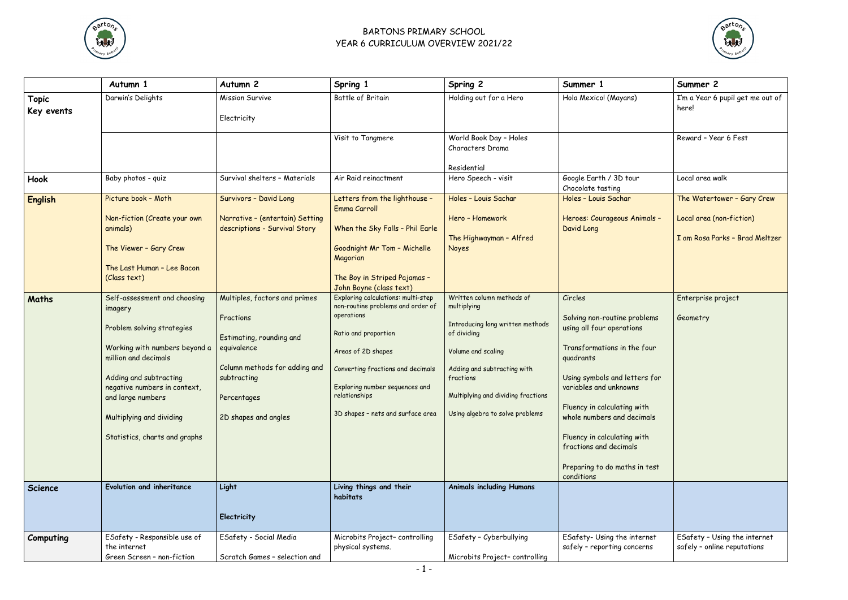

## BARTONS PRIMARY SCHOOL YEAR 6 CURRICULUM OVERVIEW 2021/22



|                            | Autumn 1                                                                                                                                                                                                                                                                   | Autumn 2                                                                                                                                                                     | Spring 1                                                                                                                                                                                                                                                                                    | Spring 2                                                                                                                                                                                                                               | Summer 1                                                                                                                                                                                                                                                                                                                                         | Summer 2                                                                                 |
|----------------------------|----------------------------------------------------------------------------------------------------------------------------------------------------------------------------------------------------------------------------------------------------------------------------|------------------------------------------------------------------------------------------------------------------------------------------------------------------------------|---------------------------------------------------------------------------------------------------------------------------------------------------------------------------------------------------------------------------------------------------------------------------------------------|----------------------------------------------------------------------------------------------------------------------------------------------------------------------------------------------------------------------------------------|--------------------------------------------------------------------------------------------------------------------------------------------------------------------------------------------------------------------------------------------------------------------------------------------------------------------------------------------------|------------------------------------------------------------------------------------------|
| <b>Topic</b><br>Key events | Darwin's Delights                                                                                                                                                                                                                                                          | <b>Mission Survive</b><br>Electricity                                                                                                                                        | Battle of Britain                                                                                                                                                                                                                                                                           | Holding out for a Hero                                                                                                                                                                                                                 | Hola Mexico! (Mayans)                                                                                                                                                                                                                                                                                                                            | I'm a Year 6 pupil get me out of<br>here!                                                |
|                            |                                                                                                                                                                                                                                                                            |                                                                                                                                                                              | Visit to Tangmere                                                                                                                                                                                                                                                                           | World Book Day - Holes<br>Characters Drama                                                                                                                                                                                             |                                                                                                                                                                                                                                                                                                                                                  | Reward - Year 6 Fest                                                                     |
| Hook                       | Baby photos - quiz                                                                                                                                                                                                                                                         | Survival shelters - Materials                                                                                                                                                | Air Raid reinactment                                                                                                                                                                                                                                                                        | Residential<br>Hero Speech - visit                                                                                                                                                                                                     | Google Earth / 3D tour<br>Chocolate tasting                                                                                                                                                                                                                                                                                                      | Local area walk                                                                          |
| <b>English</b>             | Picture book - Moth<br>Non-fiction (Create your own<br>animals)<br>The Viewer - Gary Crew<br>The Last Human - Lee Bacon<br>(Class text)                                                                                                                                    | Survivors - David Long<br>Narrative - (entertain) Setting<br>descriptions - Survival Story                                                                                   | Letters from the lighthouse -<br>Emma Carroll<br>When the Sky Falls - Phil Earle<br>Goodnight Mr Tom - Michelle<br>Magorian<br>The Boy in Striped Pajamas -                                                                                                                                 | Holes - Louis Sachar<br>Hero - Homework<br>The Highwayman - Alfred<br><b>Noyes</b>                                                                                                                                                     | Holes - Louis Sachar<br>Heroes: Courageous Animals -<br>David Long                                                                                                                                                                                                                                                                               | The Watertower - Gary Crew<br>Local area (non-fiction)<br>I am Rosa Parks - Brad Meltzer |
| Maths                      | Self-assessment and choosing<br>imagery<br>Problem solving strategies<br>Working with numbers beyond a<br>million and decimals<br>Adding and subtracting<br>negative numbers in context,<br>and large numbers<br>Multiplying and dividing<br>Statistics, charts and graphs | Multiples, factors and primes<br>Fractions<br>Estimating, rounding and<br>equivalence<br>Column methods for adding and<br>subtracting<br>Percentages<br>2D shapes and angles | John Boyne (class text)<br>Exploring calculations: multi-step<br>non-routine problems and order of<br>operations<br>Ratio and proportion<br>Areas of 2D shapes<br>Converting fractions and decimals<br>Exploring number sequences and<br>relationships<br>3D shapes - nets and surface area | Written column methods of<br>multiplying<br>Introducing long written methods<br>of dividing<br>Volume and scaling<br>Adding and subtracting with<br>fractions<br>Multiplying and dividing fractions<br>Using algebra to solve problems | Circles<br>Solving non-routine problems<br>using all four operations<br>Transformations in the four<br>quadrants<br>Using symbols and letters for<br>variables and unknowns<br>Fluency in calculating with<br>whole numbers and decimals<br>Fluency in calculating with<br>fractions and decimals<br>Preparing to do maths in test<br>conditions | Enterprise project<br>Geometry                                                           |
| Science                    | Evolution and inheritance                                                                                                                                                                                                                                                  | Light<br>Electricity                                                                                                                                                         | Living things and their<br>habitats                                                                                                                                                                                                                                                         | <b>Animals including Humans</b>                                                                                                                                                                                                        |                                                                                                                                                                                                                                                                                                                                                  |                                                                                          |
| Computing                  | ESafety - Responsible use of<br>the internet<br>Green Screen - non-fiction                                                                                                                                                                                                 | ESafety - Social Media<br>Scratch Games - selection and                                                                                                                      | Microbits Project-controlling<br>physical systems.                                                                                                                                                                                                                                          | ESafety - Cyberbullying<br>Microbits Project-controlling                                                                                                                                                                               | ESafety- Using the internet<br>safely - reporting concerns                                                                                                                                                                                                                                                                                       | ESafety - Using the internet<br>safely - online reputations                              |